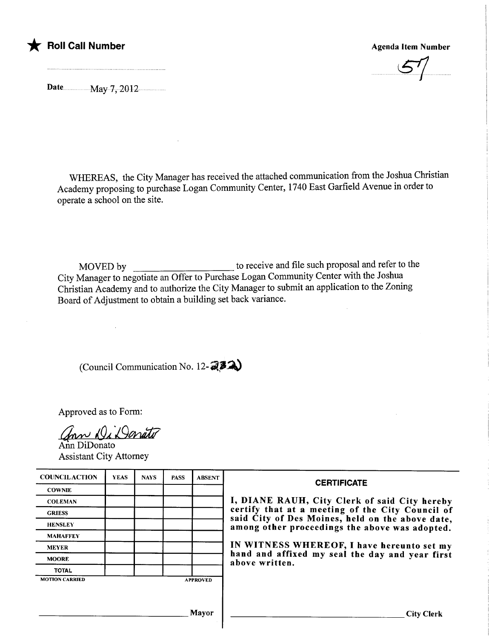

## \* **Foll Call Number** Agenda Item Number Agenda Item Number



Date ............. ....May7,2012

WHEREAS, the City Manager has received the attached communication from the Joshua Christian Academy proposing to purchase Logan Community Center, 1740 East Garfield Avenue in order to operate a school on the site.

MOVED by to receive and file such proposal and refer to the City Manager to negotiate an Offer to Purchase Logan Community Center with the Joshua Christian Academy and to authorize the City Manager to submit an application to the Zoning Board of Adjustment to obtain a building set back variance.

(Council Communication No. 12- $\mathbb{Z}^{\mathcal{Z}}\mathbb{Z}$ )

Approved as to Form:

ann Di Danato

Ann DiDonato Assistant City Attorney

| <b>COUNCILACTION</b>                     | <b>YEAS</b> | <b>NAYS</b> | <b>PASS</b> | <b>ABSENT</b> | <b>CERTIFICATE</b><br>I, DIANE RAUH, City Clerk of said City hereby<br>certify that at a meeting of the City Council of<br>said City of Des Moines, held on the above date,<br>among other proceedings the above was adopted. |  |
|------------------------------------------|-------------|-------------|-------------|---------------|-------------------------------------------------------------------------------------------------------------------------------------------------------------------------------------------------------------------------------|--|
| <b>COWNIE</b>                            |             |             |             |               |                                                                                                                                                                                                                               |  |
| <b>COLEMAN</b>                           |             |             |             |               |                                                                                                                                                                                                                               |  |
| <b>GRIESS</b>                            |             |             |             |               |                                                                                                                                                                                                                               |  |
| <b>HENSLEY</b>                           |             |             |             |               |                                                                                                                                                                                                                               |  |
| <b>MAHAFFEY</b>                          |             |             |             |               |                                                                                                                                                                                                                               |  |
| <b>MEYER</b>                             |             |             |             |               | IN WITNESS WHEREOF, I have hereunto set my<br>hand and affixed my seal the day and year first<br>above written.                                                                                                               |  |
| <b>MOORE</b>                             |             |             |             |               |                                                                                                                                                                                                                               |  |
| <b>TOTAL</b>                             |             |             |             |               |                                                                                                                                                                                                                               |  |
| <b>MOTION CARRIED</b><br><b>APPROVED</b> |             |             |             |               |                                                                                                                                                                                                                               |  |
|                                          |             |             |             |               |                                                                                                                                                                                                                               |  |
|                                          |             |             |             |               |                                                                                                                                                                                                                               |  |
| <b>Mayor</b>                             |             |             |             |               | <b>City Clerk</b>                                                                                                                                                                                                             |  |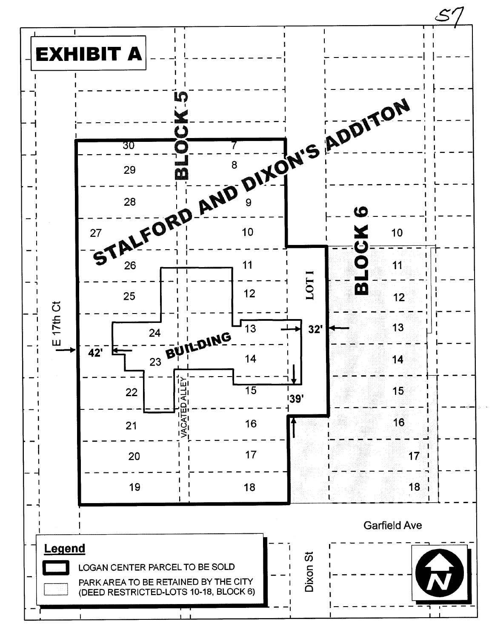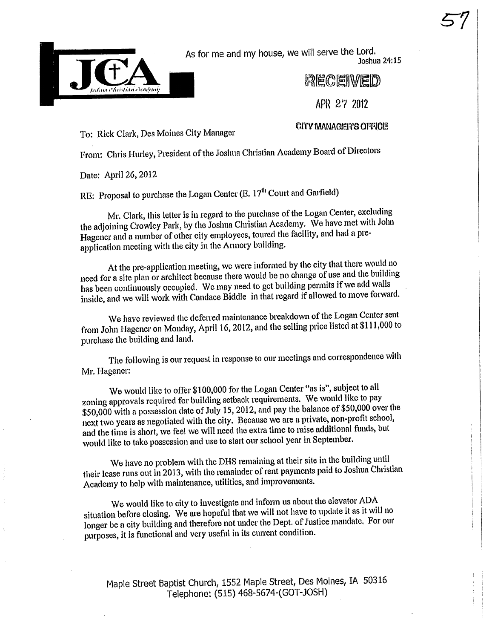

As for me and my house, we will serve the Lord.

Joshua 24:15

**RECEIVED** 

API~ 217 2012

To: Rick Clark, Des Moines City Manager

CITY MANAGER'S OFFICE

From: Chris Hurley, President of the Joshua Christian Academy Board of Directors

Date: April 26, 2012

RE: Proposal to purchase the Logan Center (E, 17<sup>th</sup> Court and Garfield)

Mr. Clark, this letter is in regard to the purchase of the Logan Center, excluding the adjoining Crowley Park, by the Joshua Christian Academy. We have met with John Hagener and a number of other city employees, toured the facility, and had a preapplication meeting with the city in the Armory building.

At the pre-application meeting, we were informed by the city that there would no need for a site plan or architect because there would be no change of use and the building has been continuously occupied. We may need to get building permits if we add walls inside, and we will work with Candace Biddle in that regard if allowed to move forward.

We have reviewed the deferred maintenance because it is easiling price listed at \$111,000 to<br>from John Hagener on Monday, April 16, 2012, and the selling price listed at \$111,000 to We have reviewed the deferred maintenance breakdown of the Logan Center sent purchase the building and land.

The following is our request in response to our meetings and correspondence with Mr. Hagener:

We would like to offer \$100,000 for the Logan Center "as is", subject to all zoning approvals required for building setback requirements. We would like to pay \$50,000 with a possession date of July 15, 2012, and pay the balance of \$50,000 over the next two years as negotiated with the city. Because we are a private, non-profit school, and the time is short, we feel we will need the extra time to raise additional funds, but would like to take possession and use to start our school year in September.

We have no problem with the DHS remaining at their site in the building until their lease runs out in 2013, with the remainder of rent payments paid to Joshua Christian Academy to help with maintenance, utilties, and improvements.

We would like to city to investigate and inform us about the elevator ADA situation before closing. We are hopeful that we will not have to update it as it will no longer be a city building and therefore not under the Dept. of Justice mandate. For our purposes, it is functional and very useful in its current conditon.

Maple Street Baptist Church, 1552 Maple Street, Des Moines, IA 50316 Telephone: (515) 468-5674-(GOT-'JOSH)